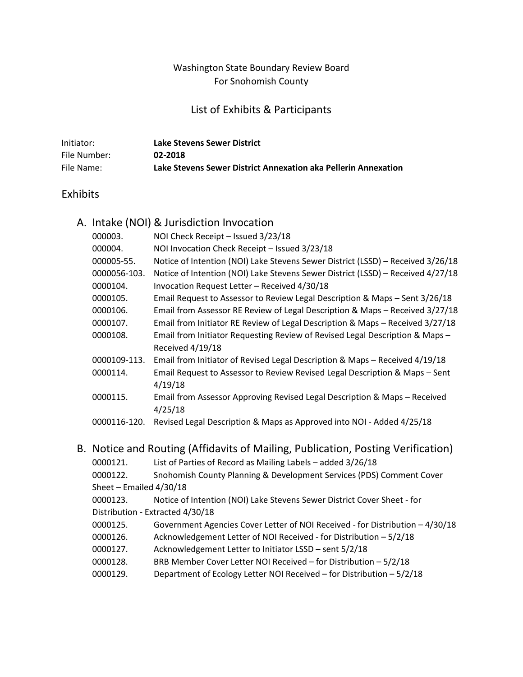# Washington State Boundary Review Board For Snohomish County

# List of Exhibits & Participants

| Initiator:   | Lake Stevens Sewer District                                    |
|--------------|----------------------------------------------------------------|
| File Number: | 02-2018                                                        |
| File Name:   | Lake Stevens Sewer District Annexation aka Pellerin Annexation |

# Exhibits

|                                                                                     |                           | A. Intake (NOI) & Jurisdiction Invocation                                       |
|-------------------------------------------------------------------------------------|---------------------------|---------------------------------------------------------------------------------|
|                                                                                     | 000003.                   | NOI Check Receipt - Issued 3/23/18                                              |
|                                                                                     | 000004.                   | NOI Invocation Check Receipt - Issued 3/23/18                                   |
|                                                                                     | 000005-55.                | Notice of Intention (NOI) Lake Stevens Sewer District (LSSD) - Received 3/26/18 |
|                                                                                     | 0000056-103.              | Notice of Intention (NOI) Lake Stevens Sewer District (LSSD) - Received 4/27/18 |
|                                                                                     | 0000104.                  | Invocation Request Letter - Received 4/30/18                                    |
|                                                                                     | 0000105.                  | Email Request to Assessor to Review Legal Description & Maps - Sent 3/26/18     |
|                                                                                     | 0000106.                  | Email from Assessor RE Review of Legal Description & Maps - Received 3/27/18    |
|                                                                                     | 0000107.                  | Email from Initiator RE Review of Legal Description & Maps - Received 3/27/18   |
|                                                                                     | 0000108.                  | Email from Initiator Requesting Review of Revised Legal Description & Maps -    |
|                                                                                     |                           | Received 4/19/18                                                                |
|                                                                                     | 0000109-113.              | Email from Initiator of Revised Legal Description & Maps - Received 4/19/18     |
|                                                                                     | 0000114.                  | Email Request to Assessor to Review Revised Legal Description & Maps - Sent     |
|                                                                                     |                           | 4/19/18                                                                         |
|                                                                                     | 0000115.                  | Email from Assessor Approving Revised Legal Description & Maps - Received       |
|                                                                                     |                           | 4/25/18                                                                         |
|                                                                                     | 0000116-120.              | Revised Legal Description & Maps as Approved into NOI - Added 4/25/18           |
|                                                                                     |                           |                                                                                 |
| Notice and Routing (Affidavits of Mailing, Publication, Posting Verification)<br>В. |                           |                                                                                 |
|                                                                                     | 0000121.                  | List of Parties of Record as Mailing Labels - added 3/26/18                     |
|                                                                                     | 0000122.                  | Snohomish County Planning & Development Services (PDS) Comment Cover            |
|                                                                                     | Sheet - Emailed $4/30/18$ |                                                                                 |
|                                                                                     | 0000123.                  | Notice of Intention (NOI) Lake Stevens Sewer District Cover Sheet - for         |
|                                                                                     |                           | Distribution - Extracted 4/30/18                                                |
|                                                                                     | 0000125.                  | Government Agencies Cover Letter of NOI Received - for Distribution - 4/30/18   |
|                                                                                     | 0000126.                  | Acknowledgement Letter of NOI Received - for Distribution - 5/2/18              |
|                                                                                     | 0000127.                  | Acknowledgement Letter to Initiator LSSD - sent 5/2/18                          |
|                                                                                     | 0000128.                  | BRB Member Cover Letter NOI Received - for Distribution - 5/2/18                |
|                                                                                     | 0000129.                  | Department of Ecology Letter NOI Received - for Distribution - 5/2/18           |